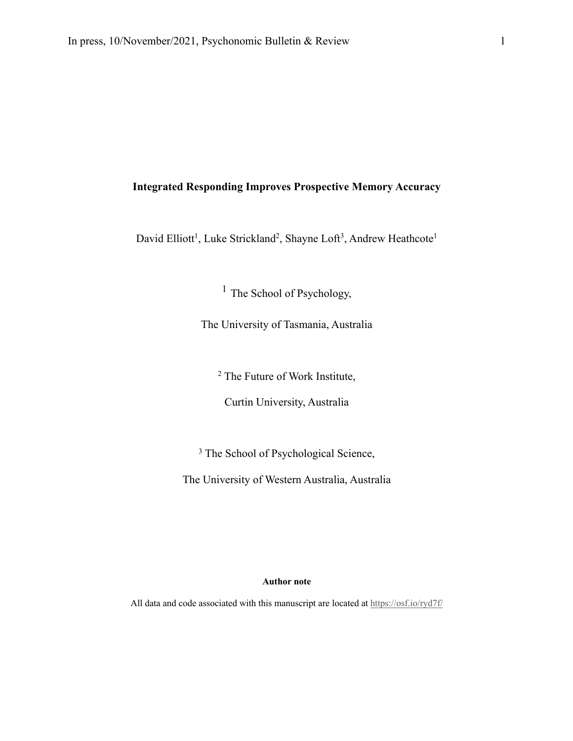# **Integrated Responding Improves Prospective Memory Accuracy**

David Elliott<sup>1</sup>, Luke Strickland<sup>2</sup>, Shayne Loft<sup>3</sup>, Andrew Heathcote<sup>1</sup>

<sup>1</sup> The School of Psychology,

The University of Tasmania, Australia

<sup>2</sup> The Future of Work Institute,

Curtin University, Australia

<sup>3</sup> The School of Psychological Science,

The University of Western Australia, Australia

# **Author note**

All data and code associated with this manuscript are located at https://osf.io/ryd7f/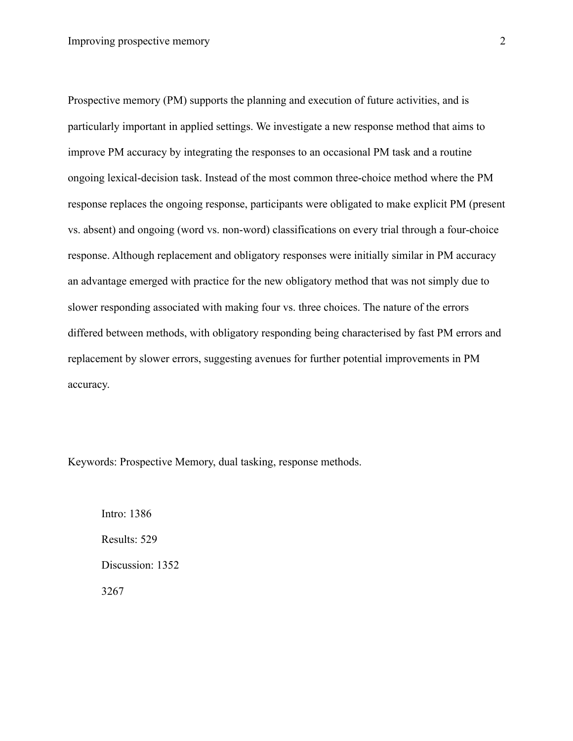Prospective memory (PM) supports the planning and execution of future activities, and is particularly important in applied settings. We investigate a new response method that aims to improve PM accuracy by integrating the responses to an occasional PM task and a routine ongoing lexical-decision task. Instead of the most common three-choice method where the PM response replaces the ongoing response, participants were obligated to make explicit PM (present vs. absent) and ongoing (word vs. non-word) classifications on every trial through a four-choice response. Although replacement and obligatory responses were initially similar in PM accuracy an advantage emerged with practice for the new obligatory method that was not simply due to slower responding associated with making four vs. three choices. The nature of the errors differed between methods, with obligatory responding being characterised by fast PM errors and replacement by slower errors, suggesting avenues for further potential improvements in PM accuracy.

Keywords: Prospective Memory, dual tasking, response methods.

Intro: 1386 Results: 529 Discussion: 1352 3267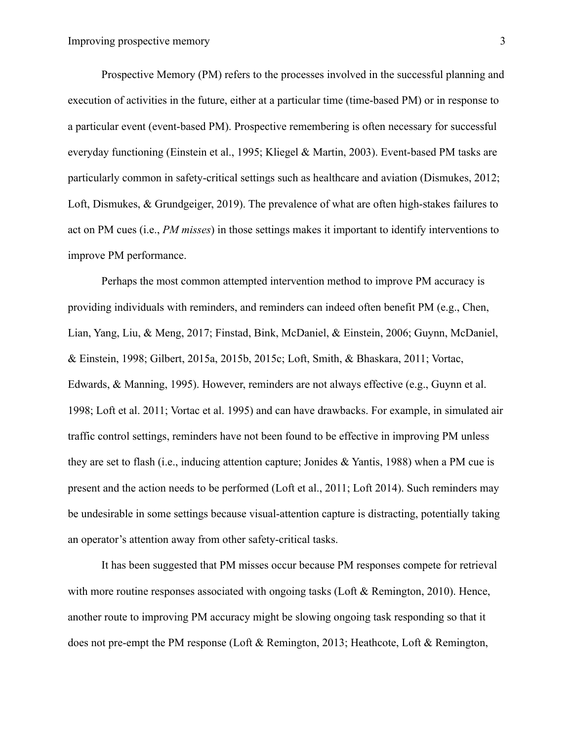Prospective Memory (PM) refers to the processes involved in the successful planning and execution of activities in the future, either at a particular time (time-based PM) or in response to a particular event (event-based PM). Prospective remembering is often necessary for successful everyday functioning (Einstein et al., 1995; Kliegel & Martin, 2003). Event-based PM tasks are particularly common in safety-critical settings such as healthcare and aviation (Dismukes, 2012; Loft, Dismukes, & Grundgeiger, 2019). The prevalence of what are often high-stakes failures to act on PM cues (i.e., *PM misses*) in those settings makes it important to identify interventions to improve PM performance.

Perhaps the most common attempted intervention method to improve PM accuracy is providing individuals with reminders, and reminders can indeed often benefit PM (e.g., Chen, Lian, Yang, Liu, & Meng, 2017; Finstad, Bink, McDaniel, & Einstein, 2006; Guynn, McDaniel, & Einstein, 1998; Gilbert, 2015a, 2015b, 2015c; Loft, Smith, & Bhaskara, 2011; Vortac, Edwards, & Manning, 1995). However, reminders are not always effective (e.g., Guynn et al. 1998; Loft et al. 2011; Vortac et al. 1995) and can have drawbacks. For example, in simulated air traffic control settings, reminders have not been found to be effective in improving PM unless they are set to flash (i.e., inducing attention capture; Jonides & Yantis, 1988) when a PM cue is present and the action needs to be performed (Loft et al., 2011; Loft 2014). Such reminders may be undesirable in some settings because visual-attention capture is distracting, potentially taking an operator's attention away from other safety-critical tasks.

It has been suggested that PM misses occur because PM responses compete for retrieval with more routine responses associated with ongoing tasks (Loft  $\&$  Remington, 2010). Hence, another route to improving PM accuracy might be slowing ongoing task responding so that it does not pre-empt the PM response (Loft & Remington, 2013; Heathcote, Loft & Remington,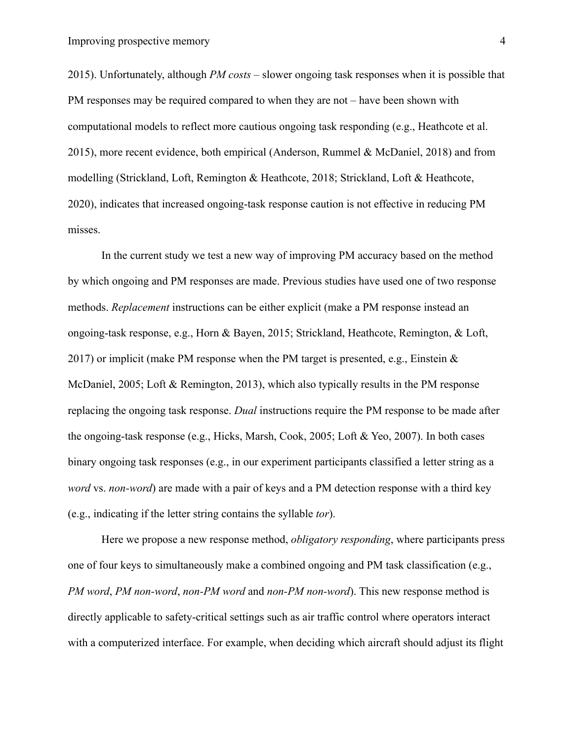2015). Unfortunately, although *PM costs* – slower ongoing task responses when it is possible that PM responses may be required compared to when they are not – have been shown with computational models to reflect more cautious ongoing task responding (e.g., Heathcote et al. 2015), more recent evidence, both empirical (Anderson, Rummel & McDaniel, 2018) and from modelling (Strickland, Loft, Remington & Heathcote, 2018; Strickland, Loft & Heathcote, 2020), indicates that increased ongoing-task response caution is not effective in reducing PM misses.

In the current study we test a new way of improving PM accuracy based on the method by which ongoing and PM responses are made. Previous studies have used one of two response methods. *Replacement* instructions can be either explicit (make a PM response instead an ongoing-task response, e.g., Horn & Bayen, 2015; Strickland, Heathcote, Remington, & Loft, 2017) or implicit (make PM response when the PM target is presented, e.g., Einstein  $\&$ McDaniel, 2005; Loft & Remington, 2013), which also typically results in the PM response replacing the ongoing task response. *Dual* instructions require the PM response to be made after the ongoing-task response (e.g., Hicks, Marsh, Cook, 2005; Loft & Yeo, 2007). In both cases binary ongoing task responses (e.g., in our experiment participants classified a letter string as a *word* vs. *non-word*) are made with a pair of keys and a PM detection response with a third key (e.g., indicating if the letter string contains the syllable *tor*).

Here we propose a new response method, *obligatory responding*, where participants press one of four keys to simultaneously make a combined ongoing and PM task classification (e.g., *PM word*, *PM non-word*, *non-PM word* and *non-PM non-word*). This new response method is directly applicable to safety-critical settings such as air traffic control where operators interact with a computerized interface. For example, when deciding which aircraft should adjust its flight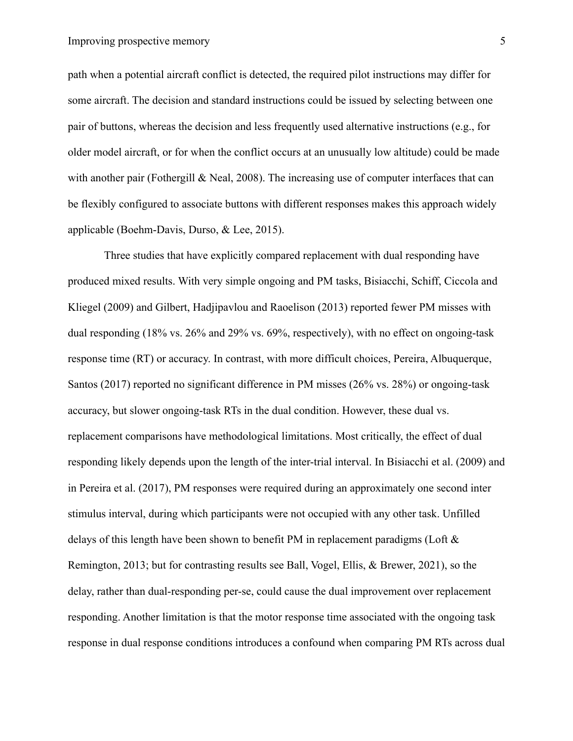path when a potential aircraft conflict is detected, the required pilot instructions may differ for some aircraft. The decision and standard instructions could be issued by selecting between one pair of buttons, whereas the decision and less frequently used alternative instructions (e.g., for older model aircraft, or for when the conflict occurs at an unusually low altitude) could be made with another pair (Fothergill & Neal, 2008). The increasing use of computer interfaces that can be flexibly configured to associate buttons with different responses makes this approach widely applicable (Boehm-Davis, Durso, & Lee, 2015).

Three studies that have explicitly compared replacement with dual responding have produced mixed results. With very simple ongoing and PM tasks, Bisiacchi, Schiff, Ciccola and Kliegel (2009) and Gilbert, Hadjipavlou and Raoelison (2013) reported fewer PM misses with dual responding (18% vs. 26% and 29% vs. 69%, respectively), with no effect on ongoing-task response time (RT) or accuracy. In contrast, with more difficult choices, Pereira, Albuquerque, Santos (2017) reported no significant difference in PM misses (26% vs. 28%) or ongoing-task accuracy, but slower ongoing-task RTs in the dual condition. However, these dual vs. replacement comparisons have methodological limitations. Most critically, the effect of dual responding likely depends upon the length of the inter-trial interval. In Bisiacchi et al. (2009) and in Pereira et al. (2017), PM responses were required during an approximately one second inter stimulus interval, during which participants were not occupied with any other task. Unfilled delays of this length have been shown to benefit PM in replacement paradigms (Loft & Remington, 2013; but for contrasting results see Ball, Vogel, Ellis, & Brewer, 2021), so the delay, rather than dual-responding per-se, could cause the dual improvement over replacement responding. Another limitation is that the motor response time associated with the ongoing task response in dual response conditions introduces a confound when comparing PM RTs across dual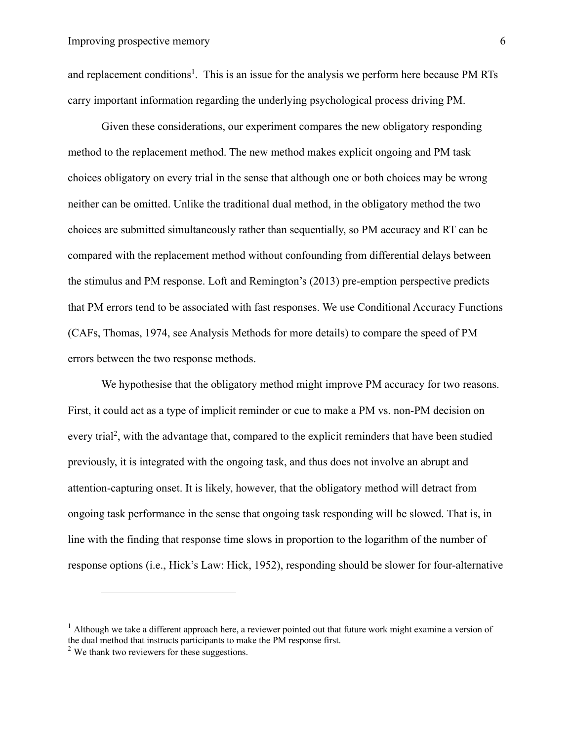and replacement conditions<sup>1</sup>. This is an issue for the analysis we perform here because PM RTs carry important information regarding the underlying psychological process driving PM.

Given these considerations, our experiment compares the new obligatory responding method to the replacement method. The new method makes explicit ongoing and PM task choices obligatory on every trial in the sense that although one or both choices may be wrong neither can be omitted. Unlike the traditional dual method, in the obligatory method the two choices are submitted simultaneously rather than sequentially, so PM accuracy and RT can be compared with the replacement method without confounding from differential delays between the stimulus and PM response. Loft and Remington's (2013) pre-emption perspective predicts that PM errors tend to be associated with fast responses. We use Conditional Accuracy Functions (CAFs, Thomas, 1974, see Analysis Methods for more details) to compare the speed of PM errors between the two response methods.

We hypothesise that the obligatory method might improve PM accuracy for two reasons. First, it could act as a type of implicit reminder or cue to make a PM vs. non-PM decision on every trial<sup>2</sup>, with the advantage that, compared to the explicit reminders that have been studied previously, it is integrated with the ongoing task, and thus does not involve an abrupt and attention-capturing onset. It is likely, however, that the obligatory method will detract from ongoing task performance in the sense that ongoing task responding will be slowed. That is, in line with the finding that response time slows in proportion to the logarithm of the number of response options (i.e., Hick's Law: Hick, 1952), responding should be slower for four-alternative

 $1$  Although we take a different approach here, a reviewer pointed out that future work might examine a version of the dual method that instructs participants to make the PM response first.

 $2$  We thank two reviewers for these suggestions.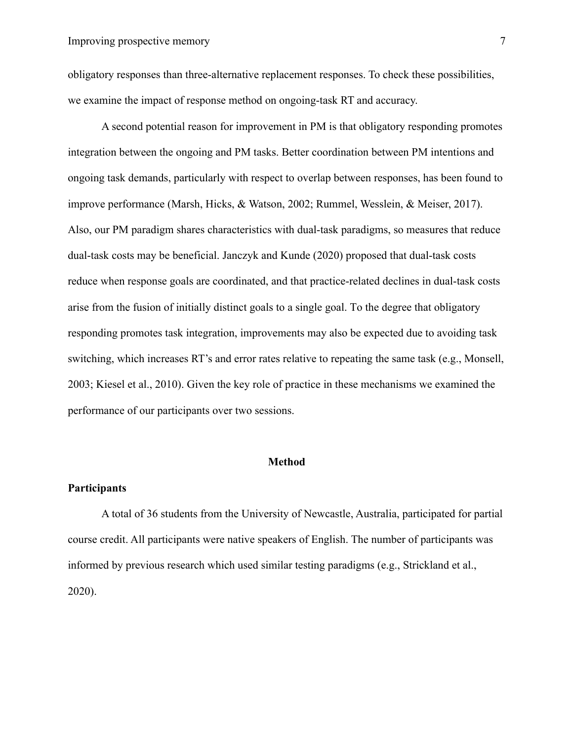obligatory responses than three-alternative replacement responses. To check these possibilities, we examine the impact of response method on ongoing-task RT and accuracy.

A second potential reason for improvement in PM is that obligatory responding promotes integration between the ongoing and PM tasks. Better coordination between PM intentions and ongoing task demands, particularly with respect to overlap between responses, has been found to improve performance (Marsh, Hicks, & Watson, 2002; Rummel, Wesslein, & Meiser, 2017). Also, our PM paradigm shares characteristics with dual-task paradigms, so measures that reduce dual-task costs may be beneficial. Janczyk and Kunde (2020) proposed that dual-task costs reduce when response goals are coordinated, and that practice-related declines in dual-task costs arise from the fusion of initially distinct goals to a single goal. To the degree that obligatory responding promotes task integration, improvements may also be expected due to avoiding task switching, which increases RT's and error rates relative to repeating the same task (e.g., Monsell, 2003; Kiesel et al., 2010). Given the key role of practice in these mechanisms we examined the performance of our participants over two sessions.

# **Method**

# **Participants**

A total of 36 students from the University of Newcastle, Australia, participated for partial course credit. All participants were native speakers of English. The number of participants was informed by previous research which used similar testing paradigms (e.g., Strickland et al., 2020).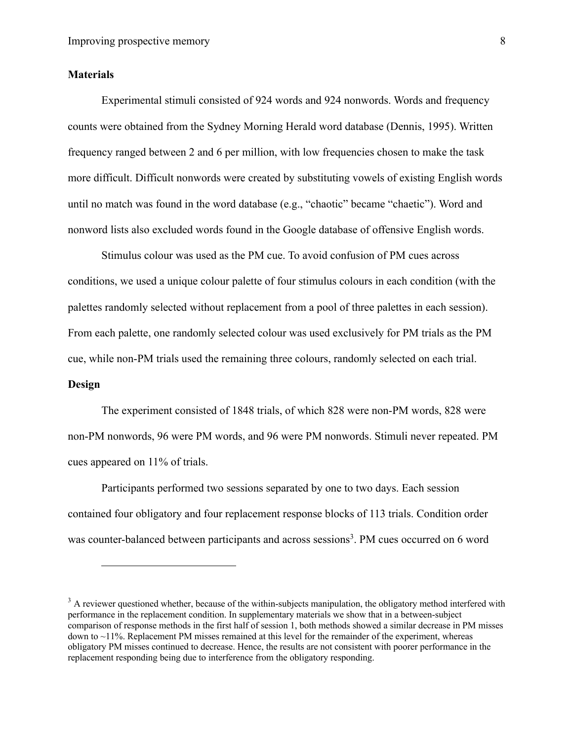# **Materials**

Experimental stimuli consisted of 924 words and 924 nonwords. Words and frequency counts were obtained from the Sydney Morning Herald word database (Dennis, 1995). Written frequency ranged between 2 and 6 per million, with low frequencies chosen to make the task more difficult. Difficult nonwords were created by substituting vowels of existing English words until no match was found in the word database (e.g., "chaotic" became "chaetic"). Word and nonword lists also excluded words found in the Google database of offensive English words.

Stimulus colour was used as the PM cue. To avoid confusion of PM cues across conditions, we used a unique colour palette of four stimulus colours in each condition (with the palettes randomly selected without replacement from a pool of three palettes in each session). From each palette, one randomly selected colour was used exclusively for PM trials as the PM cue, while non-PM trials used the remaining three colours, randomly selected on each trial.

# **Design**

The experiment consisted of 1848 trials, of which 828 were non-PM words, 828 were non-PM nonwords, 96 were PM words, and 96 were PM nonwords. Stimuli never repeated. PM cues appeared on 11% of trials.

Participants performed two sessions separated by one to two days. Each session contained four obligatory and four replacement response blocks of 113 trials. Condition order was counter-balanced between participants and across sessions<sup>3</sup>. PM cues occurred on 6 word

 $3$  A reviewer questioned whether, because of the within-subjects manipulation, the obligatory method interfered with performance in the replacement condition. In supplementary materials we show that in a between-subject comparison of response methods in the first half of session 1, both methods showed a similar decrease in PM misses down to ~11%. Replacement PM misses remained at this level for the remainder of the experiment, whereas obligatory PM misses continued to decrease. Hence, the results are not consistent with poorer performance in the replacement responding being due to interference from the obligatory responding.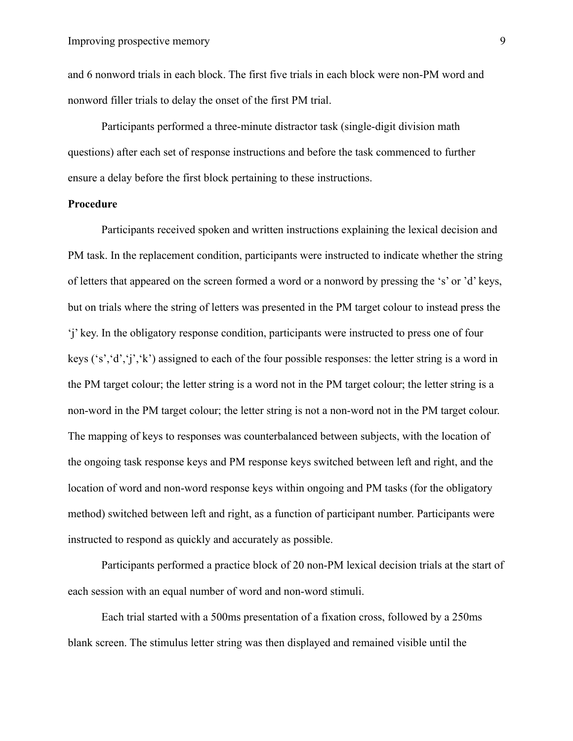and 6 nonword trials in each block. The first five trials in each block were non-PM word and nonword filler trials to delay the onset of the first PM trial.

Participants performed a three-minute distractor task (single-digit division math questions) after each set of response instructions and before the task commenced to further ensure a delay before the first block pertaining to these instructions.

# **Procedure**

Participants received spoken and written instructions explaining the lexical decision and PM task. In the replacement condition, participants were instructed to indicate whether the string of letters that appeared on the screen formed a word or a nonword by pressing the 's' or 'd' keys, but on trials where the string of letters was presented in the PM target colour to instead press the 'j' key. In the obligatory response condition, participants were instructed to press one of four keys ('s','d','j','k') assigned to each of the four possible responses: the letter string is a word in the PM target colour; the letter string is a word not in the PM target colour; the letter string is a non-word in the PM target colour; the letter string is not a non-word not in the PM target colour. The mapping of keys to responses was counterbalanced between subjects, with the location of the ongoing task response keys and PM response keys switched between left and right, and the location of word and non-word response keys within ongoing and PM tasks (for the obligatory method) switched between left and right, as a function of participant number. Participants were instructed to respond as quickly and accurately as possible.

Participants performed a practice block of 20 non-PM lexical decision trials at the start of each session with an equal number of word and non-word stimuli.

Each trial started with a 500ms presentation of a fixation cross, followed by a 250ms blank screen. The stimulus letter string was then displayed and remained visible until the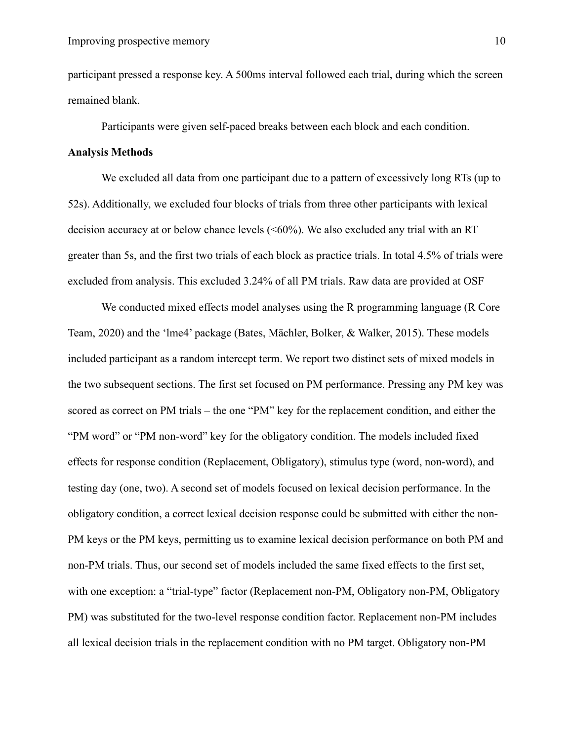participant pressed a response key. A 500ms interval followed each trial, during which the screen remained blank.

Participants were given self-paced breaks between each block and each condition.

# **Analysis Methods**

We excluded all data from one participant due to a pattern of excessively long RTs (up to 52s). Additionally, we excluded four blocks of trials from three other participants with lexical decision accuracy at or below chance levels  $(<60\%)$ . We also excluded any trial with an RT greater than 5s, and the first two trials of each block as practice trials. In total 4.5% of trials were excluded from analysis. This excluded 3.24% of all PM trials. Raw data are provided at OSF

We conducted mixed effects model analyses using the R programming language (R Core Team, 2020) and the 'lme4' package (Bates, Mächler, Bolker, & Walker, 2015). These models included participant as a random intercept term. We report two distinct sets of mixed models in the two subsequent sections. The first set focused on PM performance. Pressing any PM key was scored as correct on PM trials – the one "PM" key for the replacement condition, and either the "PM word" or "PM non-word" key for the obligatory condition. The models included fixed effects for response condition (Replacement, Obligatory), stimulus type (word, non-word), and testing day (one, two). A second set of models focused on lexical decision performance. In the obligatory condition, a correct lexical decision response could be submitted with either the non-PM keys or the PM keys, permitting us to examine lexical decision performance on both PM and non-PM trials. Thus, our second set of models included the same fixed effects to the first set, with one exception: a "trial-type" factor (Replacement non-PM, Obligatory non-PM, Obligatory PM) was substituted for the two-level response condition factor. Replacement non-PM includes all lexical decision trials in the replacement condition with no PM target. Obligatory non-PM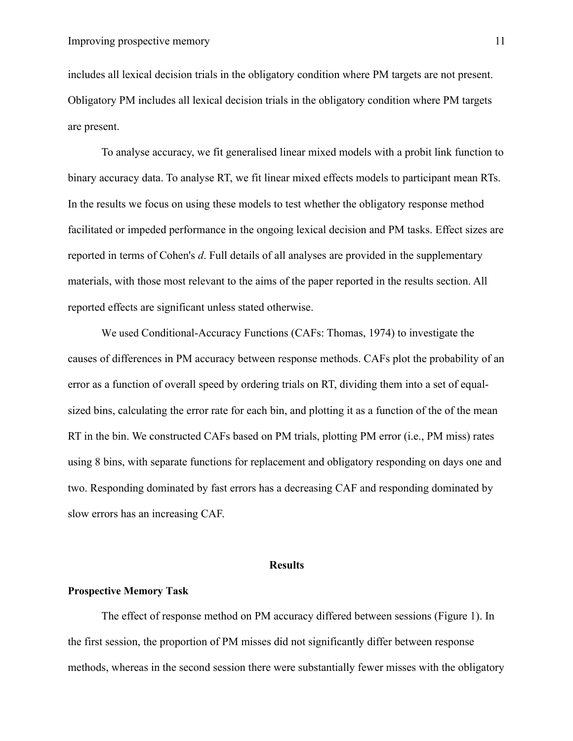includes all lexical decision trials in the obligatory condition where PM targets are not present. Obligatory PM includes all lexical decision trials in the obligatory condition where PM targets are present.

To analyse accuracy, we fit generalised linear mixed models with a probit link function to binary accuracy data. To analyse RT, we fit linear mixed effects models to participant mean RTs. In the results we focus on using these models to test whether the obligatory response method facilitated or impeded performance in the ongoing lexical decision and PM tasks. Effect sizes are reported in terms of Cohen's *d*. Full details of all analyses are provided in the supplementary materials, with those most relevant to the aims of the paper reported in the results section. All reported effects are significant unless stated otherwise.

We used Conditional-Accuracy Functions (CAFs: Thomas, 1974) to investigate the causes of differences in PM accuracy between response methods. CAFs plot the probability of an error as a function of overall speed by ordering trials on RT, dividing them into a set of equalsized bins, calculating the error rate for each bin, and plotting it as a function of the of the mean RT in the bin. We constructed CAFs based on PM trials, plotting PM error (i.e., PM miss) rates using 8 bins, with separate functions for replacement and obligatory responding on days one and two. Responding dominated by fast errors has a decreasing CAF and responding dominated by slow errors has an increasing CAF.

#### **Results**

#### **Prospective Memory Task**

The effect of response method on PM accuracy differed between sessions (Figure 1). In the first session, the proportion of PM misses did not significantly differ between response methods, whereas in the second session there were substantially fewer misses with the obligatory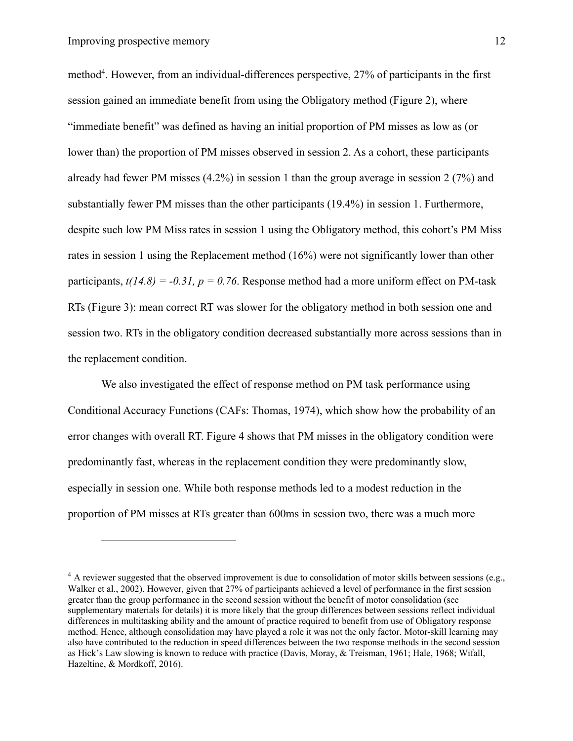method<sup>4</sup>. However, from an individual-differences perspective, 27% of participants in the first session gained an immediate benefit from using the Obligatory method (Figure 2), where "immediate benefit" was defined as having an initial proportion of PM misses as low as (or lower than) the proportion of PM misses observed in session 2. As a cohort, these participants already had fewer PM misses (4.2%) in session 1 than the group average in session 2 (7%) and substantially fewer PM misses than the other participants (19.4%) in session 1. Furthermore, despite such low PM Miss rates in session 1 using the Obligatory method, this cohort's PM Miss rates in session 1 using the Replacement method (16%) were not significantly lower than other participants,  $t(14.8) = -0.31$ ,  $p = 0.76$ . Response method had a more uniform effect on PM-task RTs (Figure 3): mean correct RT was slower for the obligatory method in both session one and session two. RTs in the obligatory condition decreased substantially more across sessions than in the replacement condition.

We also investigated the effect of response method on PM task performance using Conditional Accuracy Functions (CAFs: Thomas, 1974), which show how the probability of an error changes with overall RT. Figure 4 shows that PM misses in the obligatory condition were predominantly fast, whereas in the replacement condition they were predominantly slow, especially in session one. While both response methods led to a modest reduction in the proportion of PM misses at RTs greater than 600ms in session two, there was a much more

 $^{4}$  A reviewer suggested that the observed improvement is due to consolidation of motor skills between sessions (e.g., Walker et al., 2002). However, given that 27% of participants achieved a level of performance in the first session greater than the group performance in the second session without the benefit of motor consolidation (see supplementary materials for details) it is more likely that the group differences between sessions reflect individual differences in multitasking ability and the amount of practice required to benefit from use of Obligatory response method. Hence, although consolidation may have played a role it was not the only factor. Motor-skill learning may also have contributed to the reduction in speed differences between the two response methods in the second session as Hick's Law slowing is known to reduce with practice (Davis, Moray, & Treisman, 1961; Hale, 1968; Wifall, Hazeltine, & Mordkoff, 2016).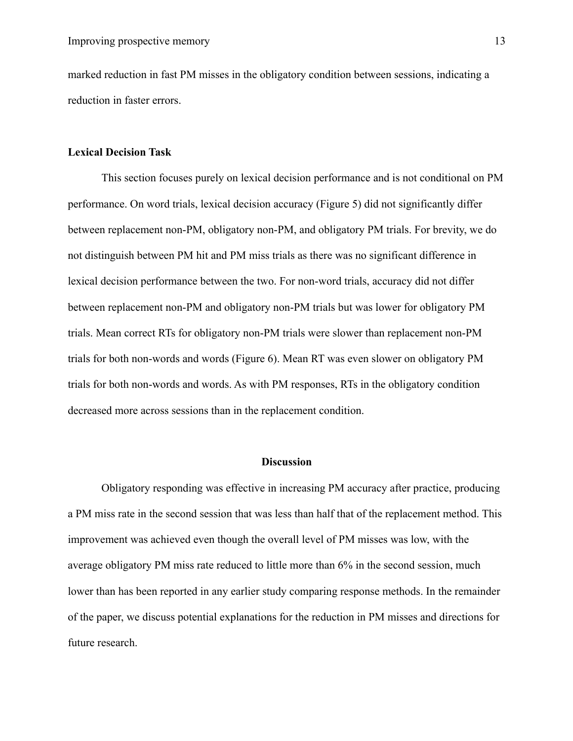marked reduction in fast PM misses in the obligatory condition between sessions, indicating a reduction in faster errors.

# **Lexical Decision Task**

This section focuses purely on lexical decision performance and is not conditional on PM performance. On word trials, lexical decision accuracy (Figure 5) did not significantly differ between replacement non-PM, obligatory non-PM, and obligatory PM trials. For brevity, we do not distinguish between PM hit and PM miss trials as there was no significant difference in lexical decision performance between the two. For non-word trials, accuracy did not differ between replacement non-PM and obligatory non-PM trials but was lower for obligatory PM trials. Mean correct RTs for obligatory non-PM trials were slower than replacement non-PM trials for both non-words and words (Figure 6). Mean RT was even slower on obligatory PM trials for both non-words and words. As with PM responses, RTs in the obligatory condition decreased more across sessions than in the replacement condition.

# **Discussion**

Obligatory responding was effective in increasing PM accuracy after practice, producing a PM miss rate in the second session that was less than half that of the replacement method. This improvement was achieved even though the overall level of PM misses was low, with the average obligatory PM miss rate reduced to little more than 6% in the second session, much lower than has been reported in any earlier study comparing response methods. In the remainder of the paper, we discuss potential explanations for the reduction in PM misses and directions for future research.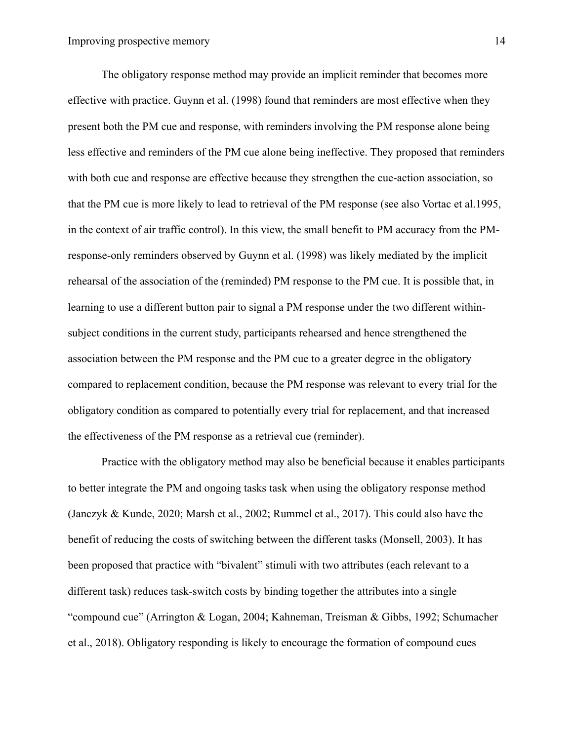The obligatory response method may provide an implicit reminder that becomes more effective with practice. Guynn et al. (1998) found that reminders are most effective when they present both the PM cue and response, with reminders involving the PM response alone being less effective and reminders of the PM cue alone being ineffective. They proposed that reminders with both cue and response are effective because they strengthen the cue-action association, so that the PM cue is more likely to lead to retrieval of the PM response (see also Vortac et al.1995, in the context of air traffic control). In this view, the small benefit to PM accuracy from the PMresponse-only reminders observed by Guynn et al. (1998) was likely mediated by the implicit rehearsal of the association of the (reminded) PM response to the PM cue. It is possible that, in learning to use a different button pair to signal a PM response under the two different withinsubject conditions in the current study, participants rehearsed and hence strengthened the association between the PM response and the PM cue to a greater degree in the obligatory compared to replacement condition, because the PM response was relevant to every trial for the obligatory condition as compared to potentially every trial for replacement, and that increased the effectiveness of the PM response as a retrieval cue (reminder).

Practice with the obligatory method may also be beneficial because it enables participants to better integrate the PM and ongoing tasks task when using the obligatory response method (Janczyk & Kunde, 2020; Marsh et al., 2002; Rummel et al., 2017). This could also have the benefit of reducing the costs of switching between the different tasks (Monsell, 2003). It has been proposed that practice with "bivalent" stimuli with two attributes (each relevant to a different task) reduces task-switch costs by binding together the attributes into a single "compound cue" (Arrington & Logan, 2004; Kahneman, Treisman & Gibbs, 1992; Schumacher et al., 2018). Obligatory responding is likely to encourage the formation of compound cues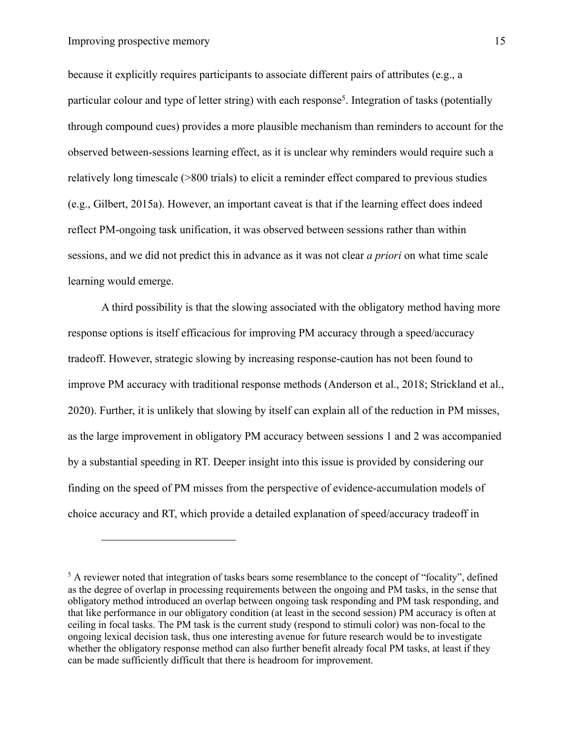because it explicitly requires participants to associate different pairs of attributes (e.g., a particular colour and type of letter string) with each response<sup>5</sup>. Integration of tasks (potentially through compound cues) provides a more plausible mechanism than reminders to account for the observed between-sessions learning effect, as it is unclear why reminders would require such a relatively long timescale (>800 trials) to elicit a reminder effect compared to previous studies (e.g., Gilbert, 2015a). However, an important caveat is that if the learning effect does indeed reflect PM-ongoing task unification, it was observed between sessions rather than within sessions, and we did not predict this in advance as it was not clear *a priori* on what time scale learning would emerge.

A third possibility is that the slowing associated with the obligatory method having more response options is itself efficacious for improving PM accuracy through a speed/accuracy tradeoff. However, strategic slowing by increasing response-caution has not been found to improve PM accuracy with traditional response methods (Anderson et al., 2018; Strickland et al., 2020). Further, it is unlikely that slowing by itself can explain all of the reduction in PM misses, as the large improvement in obligatory PM accuracy between sessions 1 and 2 was accompanied by a substantial speeding in RT. Deeper insight into this issue is provided by considering our finding on the speed of PM misses from the perspective of evidence-accumulation models of choice accuracy and RT, which provide a detailed explanation of speed/accuracy tradeoff in

<sup>&</sup>lt;sup>5</sup> A reviewer noted that integration of tasks bears some resemblance to the concept of "focality", defined as the degree of overlap in processing requirements between the ongoing and PM tasks, in the sense that obligatory method introduced an overlap between ongoing task responding and PM task responding, and that like performance in our obligatory condition (at least in the second session) PM accuracy is often at ceiling in focal tasks. The PM task is the current study (respond to stimuli color) was non-focal to the ongoing lexical decision task, thus one interesting avenue for future research would be to investigate whether the obligatory response method can also further benefit already focal PM tasks, at least if they can be made sufficiently difficult that there is headroom for improvement.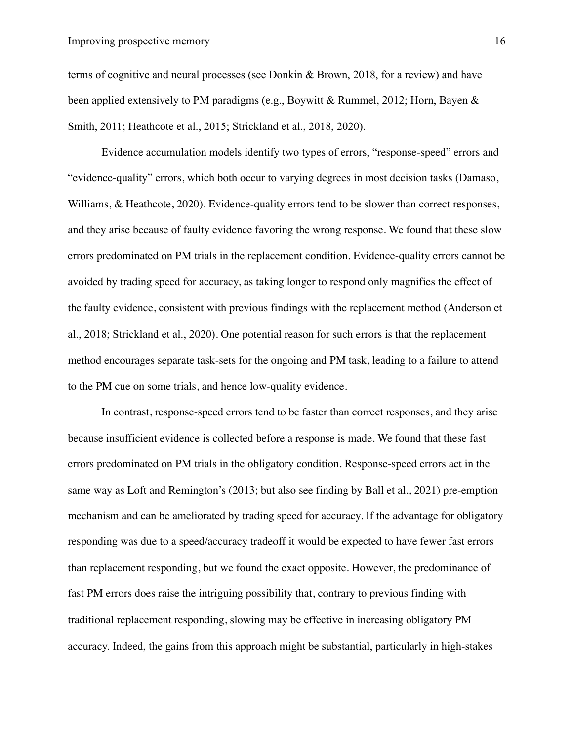# Improving prospective memory 16

terms of cognitive and neural processes (see Donkin & Brown, 2018, for a review) and have been applied extensively to PM paradigms (e.g., Boywitt & Rummel, 2012; Horn, Bayen & Smith, 2011; Heathcote et al., 2015; Strickland et al., 2018, 2020).

Evidence accumulation models identify two types of errors, "response-speed" errors and "evidence-quality" errors, which both occur to varying degrees in most decision tasks (Damaso, Williams, & Heathcote, 2020). Evidence-quality errors tend to be slower than correct responses, and they arise because of faulty evidence favoring the wrong response. We found that these slow errors predominated on PM trials in the replacement condition. Evidence-quality errors cannot be avoided by trading speed for accuracy, as taking longer to respond only magnifies the effect of the faulty evidence, consistent with previous findings with the replacement method (Anderson et al., 2018; Strickland et al., 2020). One potential reason for such errors is that the replacement method encourages separate task-sets for the ongoing and PM task, leading to a failure to attend to the PM cue on some trials, and hence low-quality evidence.

In contrast, response-speed errors tend to be faster than correct responses, and they arise because insufficient evidence is collected before a response is made. We found that these fast errors predominated on PM trials in the obligatory condition. Response-speed errors act in the same way as Loft and Remington's (2013; but also see finding by Ball et al., 2021) pre-emption mechanism and can be ameliorated by trading speed for accuracy. If the advantage for obligatory responding was due to a speed/accuracy tradeoff it would be expected to have fewer fast errors than replacement responding, but we found the exact opposite. However, the predominance of fast PM errors does raise the intriguing possibility that, contrary to previous finding with traditional replacement responding, slowing may be effective in increasing obligatory PM accuracy. Indeed, the gains from this approach might be substantial, particularly in high-stakes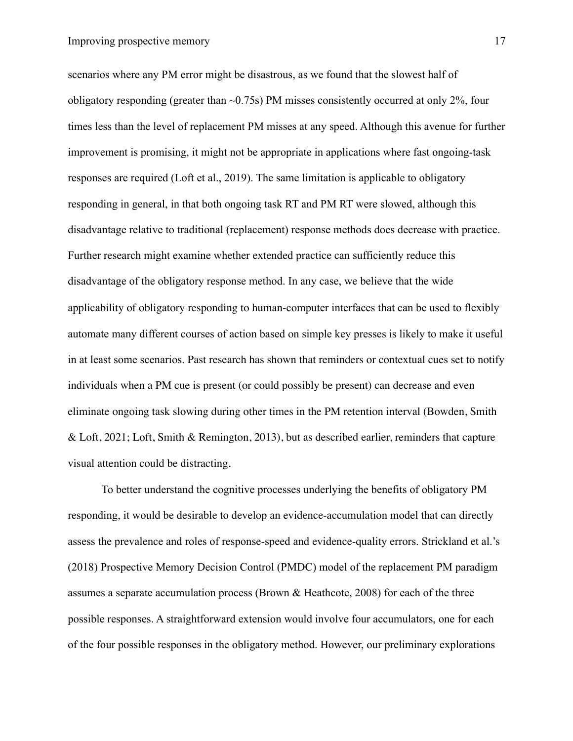scenarios where any PM error might be disastrous, as we found that the slowest half of obligatory responding (greater than  $\sim$  0.75s) PM misses consistently occurred at only 2%, four times less than the level of replacement PM misses at any speed. Although this avenue for further improvement is promising, it might not be appropriate in applications where fast ongoing-task responses are required (Loft et al., 2019). The same limitation is applicable to obligatory responding in general, in that both ongoing task RT and PM RT were slowed, although this disadvantage relative to traditional (replacement) response methods does decrease with practice. Further research might examine whether extended practice can sufficiently reduce this disadvantage of the obligatory response method. In any case, we believe that the wide applicability of obligatory responding to human-computer interfaces that can be used to flexibly automate many different courses of action based on simple key presses is likely to make it useful in at least some scenarios. Past research has shown that reminders or contextual cues set to notify individuals when a PM cue is present (or could possibly be present) can decrease and even eliminate ongoing task slowing during other times in the PM retention interval (Bowden, Smith & Loft, 2021; Loft, Smith & Remington, 2013), but as described earlier, reminders that capture visual attention could be distracting.

To better understand the cognitive processes underlying the benefits of obligatory PM responding, it would be desirable to develop an evidence-accumulation model that can directly assess the prevalence and roles of response-speed and evidence-quality errors. Strickland et al.'s (2018) Prospective Memory Decision Control (PMDC) model of the replacement PM paradigm assumes a separate accumulation process (Brown & Heathcote, 2008) for each of the three possible responses. A straightforward extension would involve four accumulators, one for each of the four possible responses in the obligatory method. However, our preliminary explorations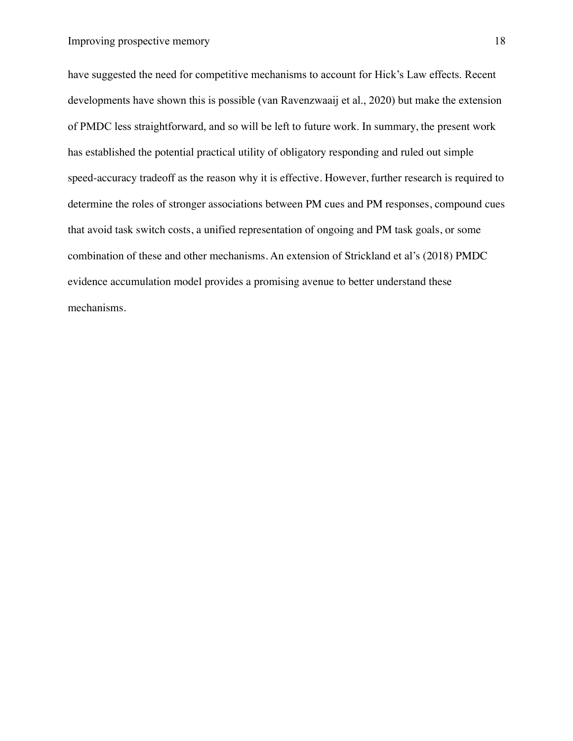have suggested the need for competitive mechanisms to account for Hick's Law effects. Recent developments have shown this is possible (van Ravenzwaaij et al., 2020) but make the extension of PMDC less straightforward, and so will be left to future work. In summary, the present work has established the potential practical utility of obligatory responding and ruled out simple speed-accuracy tradeoff as the reason why it is effective. However, further research is required to determine the roles of stronger associations between PM cues and PM responses, compound cues that avoid task switch costs, a unified representation of ongoing and PM task goals, or some combination of these and other mechanisms. An extension of Strickland et al's (2018) PMDC evidence accumulation model provides a promising avenue to better understand these mechanisms.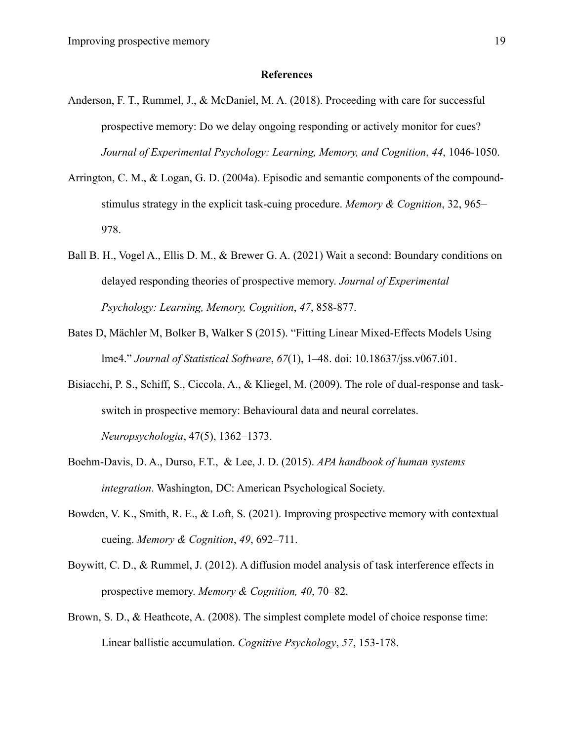# **References**

- Anderson, F. T., Rummel, J., & McDaniel, M. A. (2018). Proceeding with care for successful prospective memory: Do we delay ongoing responding or actively monitor for cues? *Journal of Experimental Psychology: Learning, Memory, and Cognition*, *44*, 1046-1050.
- Arrington, C. M., & Logan, G. D. (2004a). Episodic and semantic components of the compoundstimulus strategy in the explicit task-cuing procedure. *Memory & Cognition*, 32, 965– 978.
- Ball B. H., Vogel A., Ellis D. M., & Brewer G. A. (2021) Wait a second: Boundary conditions on delayed responding theories of prospective memory. *Journal of Experimental Psychology: Learning, Memory, Cognition*, *47*, 858-877.
- Bates D, Mächler M, Bolker B, Walker S (2015). "Fitting Linear Mixed-Effects Models Using lme4." *Journal of Statistical Software*, *67*(1), 1–48. doi: 10.18637/jss.v067.i01.
- Bisiacchi, P. S., Schiff, S., Ciccola, A., & Kliegel, M. (2009). The role of dual-response and taskswitch in prospective memory: Behavioural data and neural correlates. *Neuropsychologia*, 47(5), 1362–1373.
- Boehm-Davis, D. A., Durso, F.T., & Lee, J. D. (2015). *APA handbook of human systems integration*. Washington, DC: American Psychological Society.
- Bowden, V. K., Smith, R. E., & Loft, S. (2021). Improving prospective memory with contextual cueing. *Memory & Cognition*, *49*, 692–711.
- Boywitt, C. D., & Rummel, J. (2012). A diffusion model analysis of task interference effects in prospective memory. *Memory & Cognition, 40*, 70–82.
- Brown, S. D., & Heathcote, A. (2008). The simplest complete model of choice response time: Linear ballistic accumulation. *Cognitive Psychology*, *57*, 153-178.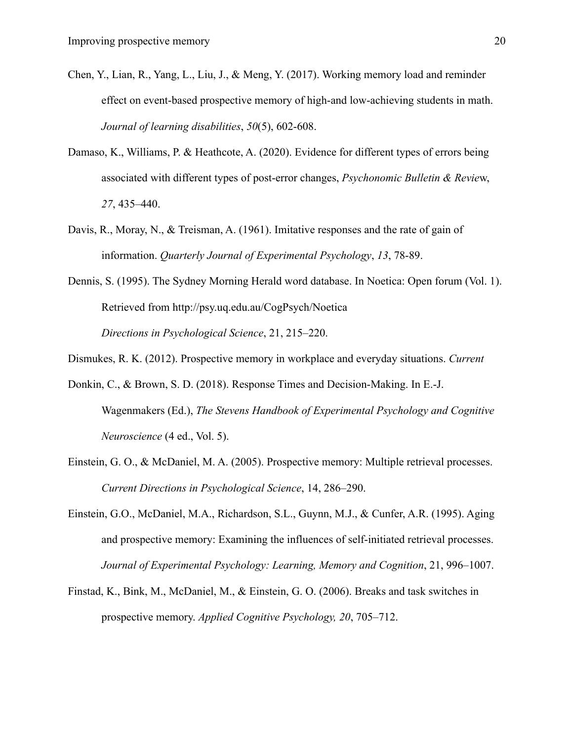- Chen, Y., Lian, R., Yang, L., Liu, J., & Meng, Y. (2017). Working memory load and reminder effect on event-based prospective memory of high-and low-achieving students in math. *Journal of learning disabilities*, *50*(5), 602-608.
- Damaso, K., Williams, P. & Heathcote, A. (2020). Evidence for different types of errors being associated with different types of post-error changes, *Psychonomic Bulletin & Revie*w, *27*, 435–440.
- Davis, R., Moray, N., & Treisman, A. (1961). Imitative responses and the rate of gain of information. *Quarterly Journal of Experimental Psychology*, *13*, 78-89.
- Dennis, S. (1995). The Sydney Morning Herald word database. In Noetica: Open forum (Vol. 1). Retrieved from http://psy.uq.edu.au/CogPsych/Noetica *Directions in Psychological Science*, 21, 215–220.

Dismukes, R. K. (2012). Prospective memory in workplace and everyday situations. *Current*

- Donkin, C., & Brown, S. D. (2018). Response Times and Decision-Making. In E.-J. Wagenmakers (Ed.), *The Stevens Handbook of Experimental Psychology and Cognitive Neuroscience* (4 ed., Vol. 5).
- Einstein, G. O., & McDaniel, M. A. (2005). Prospective memory: Multiple retrieval processes. *Current Directions in Psychological Science*, 14, 286–290.
- Einstein, G.O., McDaniel, M.A., Richardson, S.L., Guynn, M.J., & Cunfer, A.R. (1995). Aging and prospective memory: Examining the influences of self-initiated retrieval processes. *Journal of Experimental Psychology: Learning, Memory and Cognition*, 21, 996–1007.
- Finstad, K., Bink, M., McDaniel, M., & Einstein, G. O. (2006). Breaks and task switches in prospective memory. *Applied Cognitive Psychology, 20*, 705–712.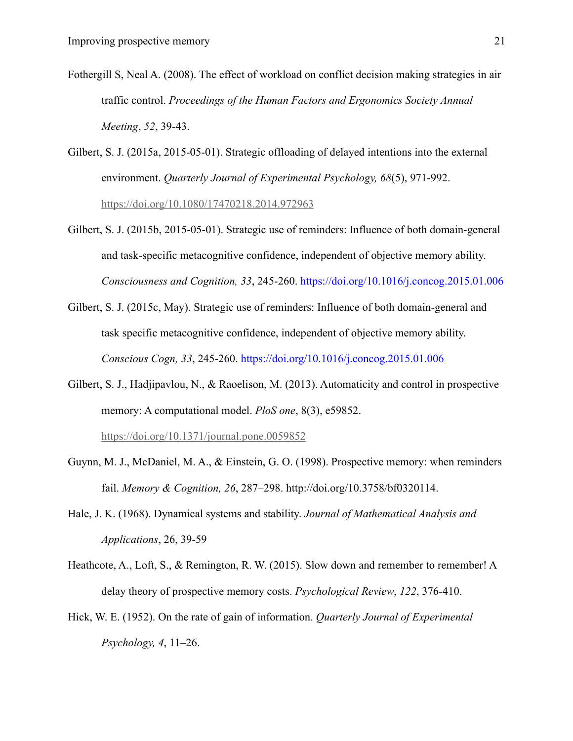- Fothergill S, Neal A. (2008). The effect of workload on conflict decision making strategies in air traffic control. *Proceedings of the Human Factors and Ergonomics Society Annual Meeting*, *52*, 39-43.
- Gilbert, S. J. (2015a, 2015-05-01). Strategic offloading of delayed intentions into the external environment. *Quarterly Journal of Experimental Psychology, 68*(5), 971-992. https://doi.org/10.1080/17470218.2014.972963
- Gilbert, S. J. (2015b, 2015-05-01). Strategic use of reminders: Influence of both domain-general and task-specific metacognitive confidence, independent of objective memory ability. *Consciousness and Cognition, 33*, 245-260. https://doi.org/10.1016/j.concog.2015.01.006
- Gilbert, S. J. (2015c, May). Strategic use of reminders: Influence of both domain-general and task specific metacognitive confidence, independent of objective memory ability. *Conscious Cogn, 33*, 245-260. https://doi.org/10.1016/j.concog.2015.01.006
- Gilbert, S. J., Hadjipavlou, N., & Raoelison, M. (2013). Automaticity and control in prospective memory: A computational model. *PloS one*, 8(3), e59852. https://doi.org/10.1371/journal.pone.0059852
- Guynn, M. J., McDaniel, M. A., & Einstein, G. O. (1998). Prospective memory: when reminders fail. *Memory & Cognition, 26*, 287–298. http://doi.org/10.3758/bf0320114.
- Hale, J. K. (1968). Dynamical systems and stability. *Journal of Mathematical Analysis and Applications*, 26, 39-59
- Heathcote, A., Loft, S., & Remington, R. W. (2015). Slow down and remember to remember! A delay theory of prospective memory costs. *Psychological Review*, *122*, 376-410.
- Hick, W. E. (1952). On the rate of gain of information. *Quarterly Journal of Experimental Psychology, 4*, 11–26.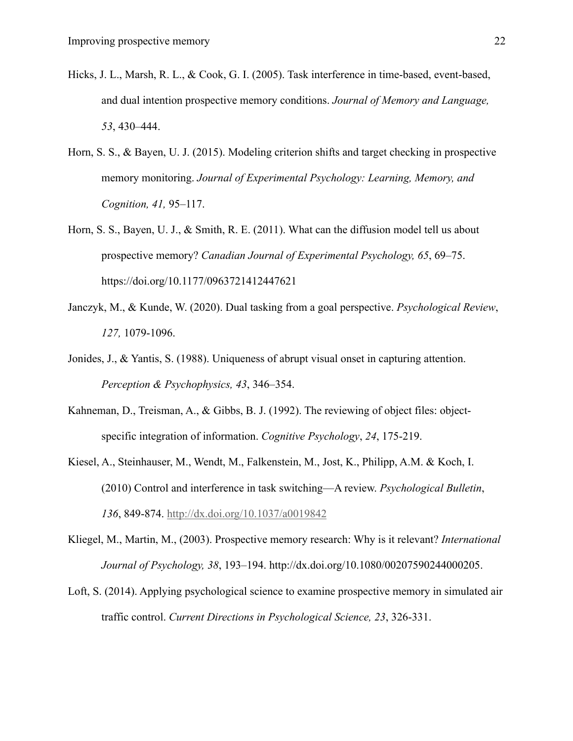- Hicks, J. L., Marsh, R. L., & Cook, G. I. (2005). Task interference in time-based, event-based, and dual intention prospective memory conditions. *Journal of Memory and Language, 53*, 430–444.
- Horn, S. S., & Bayen, U. J. (2015). Modeling criterion shifts and target checking in prospective memory monitoring. *Journal of Experimental Psychology: Learning, Memory, and Cognition, 41,* 95–117.
- Horn, S. S., Bayen, U. J., & Smith, R. E. (2011). What can the diffusion model tell us about prospective memory? *Canadian Journal of Experimental Psychology, 65*, 69–75. https://doi.org/10.1177/0963721412447621
- Janczyk, M., & Kunde, W. (2020). Dual tasking from a goal perspective. *Psychological Review*, *127,* 1079-1096.
- Jonides, J., & Yantis, S. (1988). Uniqueness of abrupt visual onset in capturing attention. *Perception & Psychophysics, 43*, 346–354.
- Kahneman, D., Treisman, A., & Gibbs, B. J. (1992). The reviewing of object files: objectspecific integration of information. *Cognitive Psychology*, *24*, 175-219.
- Kiesel, A., Steinhauser, M., Wendt, M., Falkenstein, M., Jost, K., Philipp, A.M. & Koch, I. (2010) Control and interference in task switching—A review. *Psychological Bulletin*, *136*, 849-874. http://dx.doi.org/10.1037/a0019842
- Kliegel, M., Martin, M., (2003). Prospective memory research: Why is it relevant? *International Journal of Psychology, 38*, 193–194. http://dx.doi.org/10.1080/00207590244000205.
- Loft, S. (2014). Applying psychological science to examine prospective memory in simulated air traffic control. *Current Directions in Psychological Science, 23*, 326-331.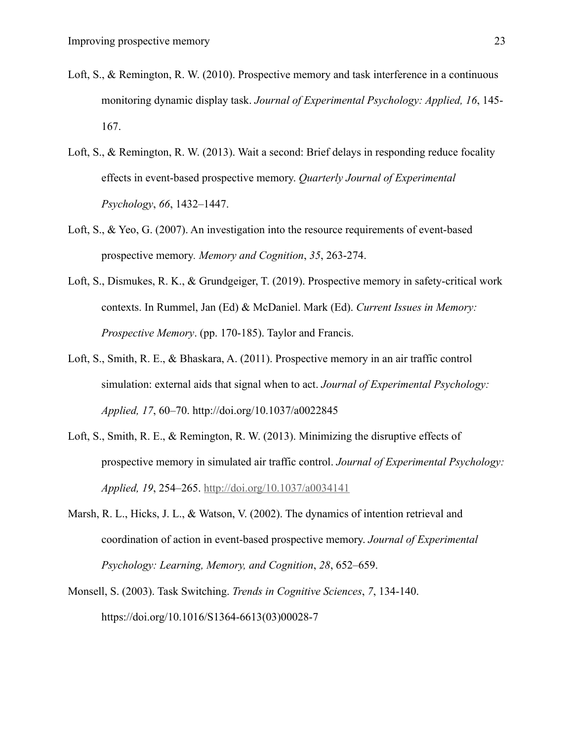- Loft, S., & Remington, R. W. (2010). Prospective memory and task interference in a continuous monitoring dynamic display task. *Journal of Experimental Psychology: Applied, 16*, 145- 167.
- Loft, S., & Remington, R. W. (2013). Wait a second: Brief delays in responding reduce focality effects in event-based prospective memory. *Quarterly Journal of Experimental Psychology*, *66*, 1432–1447.
- Loft, S., & Yeo, G. (2007). An investigation into the resource requirements of event-based prospective memory*. Memory and Cognition*, *35*, 263-274.
- Loft, S., Dismukes, R. K., & Grundgeiger, T. (2019). Prospective memory in safety-critical work contexts. In Rummel, Jan (Ed) & McDaniel. Mark (Ed). *Current Issues in Memory: Prospective Memory*. (pp. 170-185). Taylor and Francis.
- Loft, S., Smith, R. E., & Bhaskara, A. (2011). Prospective memory in an air traffic control simulation: external aids that signal when to act. *Journal of Experimental Psychology: Applied, 17*, 60–70. http://doi.org/10.1037/a0022845
- Loft, S., Smith, R. E., & Remington, R. W. (2013). Minimizing the disruptive effects of prospective memory in simulated air traffic control. *Journal of Experimental Psychology: Applied, 19*, 254–265. http://doi.org/10.1037/a0034141
- Marsh, R. L., Hicks, J. L., & Watson, V. (2002). The dynamics of intention retrieval and coordination of action in event-based prospective memory. *Journal of Experimental Psychology: Learning, Memory, and Cognition*, *28*, 652–659.
- Monsell, S. (2003). Task Switching. *Trends in Cognitive Sciences*, *7*, 134-140. https://doi.org/10.1016/S1364-6613(03)00028-7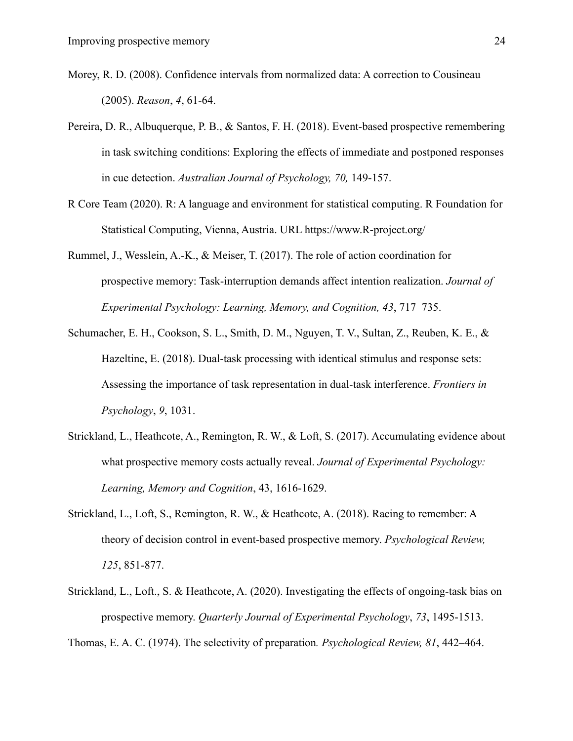- Morey, R. D. (2008). Confidence intervals from normalized data: A correction to Cousineau (2005). *Reason*, *4*, 61-64.
- Pereira, D. R., Albuquerque, P. B., & Santos, F. H. (2018). Event-based prospective remembering in task switching conditions: Exploring the effects of immediate and postponed responses in cue detection. *Australian Journal of Psychology, 70,* 149-157.
- R Core Team (2020). R: A language and environment for statistical computing. R Foundation for Statistical Computing, Vienna, Austria. URL https://www.R-project.org/
- Rummel, J., Wesslein, A.-K., & Meiser, T. (2017). The role of action coordination for prospective memory: Task-interruption demands affect intention realization. *Journal of Experimental Psychology: Learning, Memory, and Cognition, 43*, 717–735.
- Schumacher, E. H., Cookson, S. L., Smith, D. M., Nguyen, T. V., Sultan, Z., Reuben, K. E., & Hazeltine, E. (2018). Dual-task processing with identical stimulus and response sets: Assessing the importance of task representation in dual-task interference. *Frontiers in Psychology*, *9*, 1031.
- Strickland, L., Heathcote, A., Remington, R. W., & Loft, S. (2017). Accumulating evidence about what prospective memory costs actually reveal. *Journal of Experimental Psychology: Learning, Memory and Cognition*, 43, 1616-1629.
- Strickland, L., Loft, S., Remington, R. W., & Heathcote, A. (2018). Racing to remember: A theory of decision control in event-based prospective memory. *Psychological Review, 125*, 851-877.
- Strickland, L., Loft., S. & Heathcote, A. (2020). Investigating the effects of ongoing-task bias on prospective memory. *Quarterly Journal of Experimental Psychology*, *73*, 1495-1513.

Thomas, E. A. C. (1974). The selectivity of preparation*. Psychological Review, 81*, 442–464.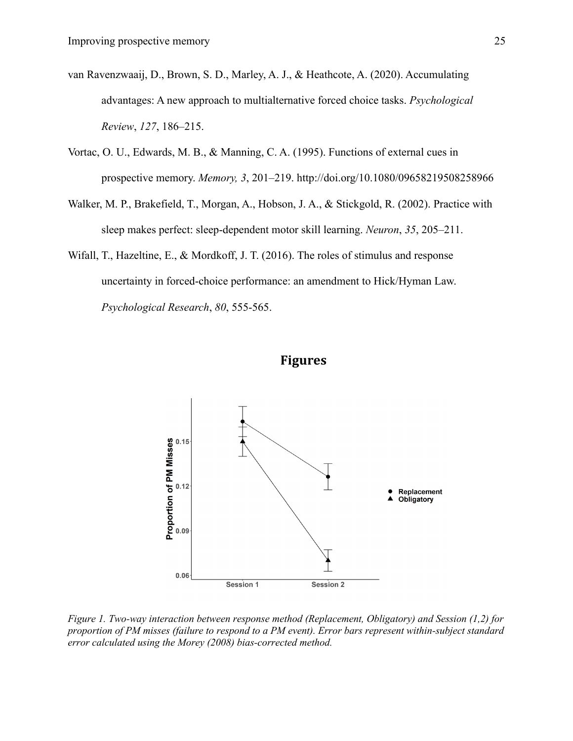- van Ravenzwaaij, D., Brown, S. D., Marley, A. J., & Heathcote, A. (2020). Accumulating advantages: A new approach to multialternative forced choice tasks. *Psychological Review*, *127*, 186–215.
- Vortac, O. U., Edwards, M. B., & Manning, C. A. (1995). Functions of external cues in prospective memory. *Memory, 3*, 201–219. http://doi.org/10.1080/09658219508258966
- Walker, M. P., Brakefield, T., Morgan, A., Hobson, J. A., & Stickgold, R. (2002). Practice with sleep makes perfect: sleep-dependent motor skill learning. *Neuron*, *35*, 205–211.
- Wifall, T., Hazeltine, E., & Mordkoff, J. T. (2016). The roles of stimulus and response uncertainty in forced-choice performance: an amendment to Hick/Hyman Law. *Psychological Research*, *80*, 555-565.



# **Figures**

*Figure 1. Two-way interaction between response method (Replacement, Obligatory) and Session (1,2) for proportion of PM misses (failure to respond to a PM event). Error bars represent within-subject standard error calculated using the Morey (2008) bias-corrected method.*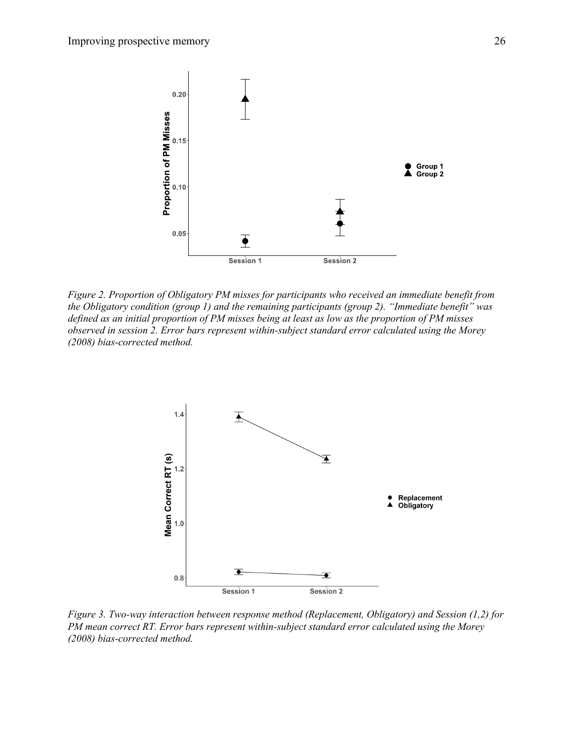

*Figure 2. Proportion of Obligatory PM misses for participants who received an immediate benefit from the Obligatory condition (group 1) and the remaining participants (group 2). "Immediate benefit" was defined as an initial proportion of PM misses being at least as low as the proportion of PM misses observed in session 2. Error bars represent within-subject standard error calculated using the Morey (2008) bias-corrected method.*



*Figure 3. Two-way interaction between response method (Replacement, Obligatory) and Session (1,2) for PM mean correct RT. Error bars represent within-subject standard error calculated using the Morey (2008) bias-corrected method.*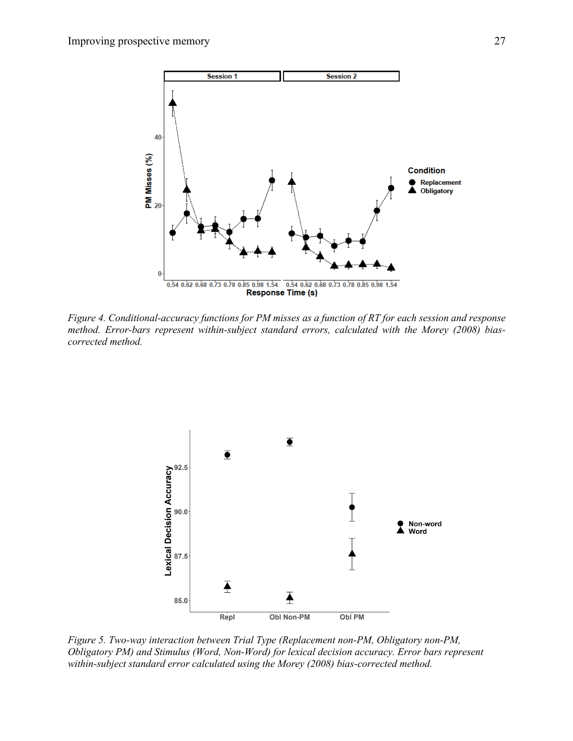

*Figure 4. Conditional-accuracy functions for PM misses as a function of RT for each session and response method. Error-bars represent within-subject standard errors, calculated with the Morey (2008) biascorrected method.*



*Figure 5. Two-way interaction between Trial Type (Replacement non-PM, Obligatory non-PM, Obligatory PM) and Stimulus (Word, Non-Word) for lexical decision accuracy. Error bars represent within-subject standard error calculated using the Morey (2008) bias-corrected method.*